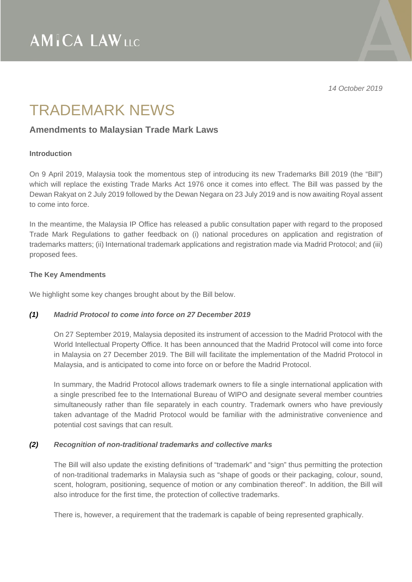*14 October 2019* 

## TRADEMARK NEWS

## **Amendments to Malaysian Trade Mark Laws**

## **Introduction**

On 9 April 2019, Malaysia took the momentous step of introducing its new Trademarks Bill 2019 (the "Bill") which will replace the existing Trade Marks Act 1976 once it comes into effect. The Bill was passed by the Dewan Rakyat on 2 July 2019 followed by the Dewan Negara on 23 July 2019 and is now awaiting Royal assent to come into force.

In the meantime, the Malaysia IP Office has released a public consultation paper with regard to the proposed Trade Mark Regulations to gather feedback on (i) national procedures on application and registration of trademarks matters; (ii) International trademark applications and registration made via Madrid Protocol; and (iii) proposed fees.

## **The Key Amendments**

We highlight some key changes brought about by the Bill below.

## *(1) Madrid Protocol to come into force on 27 December 2019*

On 27 September 2019, Malaysia deposited its instrument of accession to the Madrid Protocol with the World Intellectual Property Office. It has been announced that the Madrid Protocol will come into force in Malaysia on 27 December 2019. The Bill will facilitate the implementation of the Madrid Protocol in Malaysia, and is anticipated to come into force on or before the Madrid Protocol.

In summary, the Madrid Protocol allows trademark owners to file a single international application with a single prescribed fee to the International Bureau of WIPO and designate several member countries simultaneously rather than file separately in each country. Trademark owners who have previously taken advantage of the Madrid Protocol would be familiar with the administrative convenience and potential cost savings that can result.

## *(2) Recognition of non-traditional trademarks and collective marks*

The Bill will also update the existing definitions of "trademark" and "sign" thus permitting the protection of non-traditional trademarks in Malaysia such as "shape of goods or their packaging, colour, sound, scent, hologram, positioning, sequence of motion or any combination thereof". In addition, the Bill will also introduce for the first time, the protection of collective trademarks.

There is, however, a requirement that the trademark is capable of being represented graphically.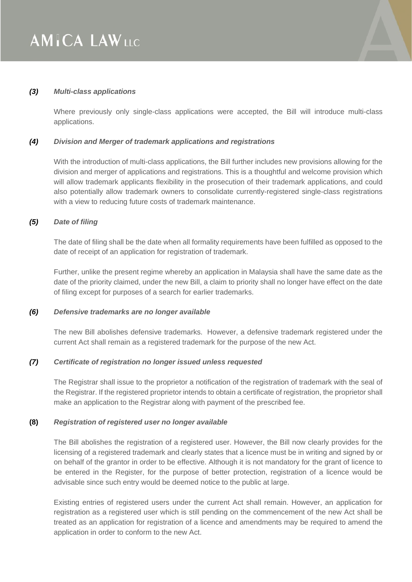#### *(3) Multi-class applications*

Where previously only single-class applications were accepted, the Bill will introduce multi-class applications.

#### *(4) Division and Merger of trademark applications and registrations*

With the introduction of multi-class applications, the Bill further includes new provisions allowing for the division and merger of applications and registrations. This is a thoughtful and welcome provision which will allow trademark applicants flexibility in the prosecution of their trademark applications, and could also potentially allow trademark owners to consolidate currently-registered single-class registrations with a view to reducing future costs of trademark maintenance.

#### *(5) Date of filing*

The date of filing shall be the date when all formality requirements have been fulfilled as opposed to the date of receipt of an application for registration of trademark.

Further, unlike the present regime whereby an application in Malaysia shall have the same date as the date of the priority claimed, under the new Bill, a claim to priority shall no longer have effect on the date of filing except for purposes of a search for earlier trademarks.

#### *(6) Defensive trademarks are no longer available*

The new Bill abolishes defensive trademarks. However, a defensive trademark registered under the current Act shall remain as a registered trademark for the purpose of the new Act.

#### *(7) Certificate of registration no longer issued unless requested*

The Registrar shall issue to the proprietor a notification of the registration of trademark with the seal of the Registrar. If the registered proprietor intends to obtain a certificate of registration, the proprietor shall make an application to the Registrar along with payment of the prescribed fee.

#### **(8)** *Registration of registered user no longer available*

The Bill abolishes the registration of a registered user. However, the Bill now clearly provides for the licensing of a registered trademark and clearly states that a licence must be in writing and signed by or on behalf of the grantor in order to be effective. Although it is not mandatory for the grant of licence to be entered in the Register, for the purpose of better protection, registration of a licence would be advisable since such entry would be deemed notice to the public at large.

Existing entries of registered users under the current Act shall remain. However, an application for registration as a registered user which is still pending on the commencement of the new Act shall be treated as an application for registration of a licence and amendments may be required to amend the application in order to conform to the new Act.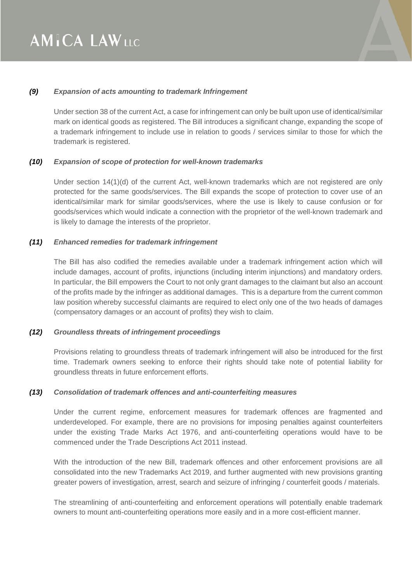

## *(9) Expansion of acts amounting to trademark Infringement*

Under section 38 of the current Act, a case for infringement can only be built upon use of identical/similar mark on identical goods as registered. The Bill introduces a significant change, expanding the scope of a trademark infringement to include use in relation to goods / services similar to those for which the trademark is registered.

## *(10) Expansion of scope of protection for well-known trademarks*

Under section 14(1)(d) of the current Act, well-known trademarks which are not registered are only protected for the same goods/services. The Bill expands the scope of protection to cover use of an identical/similar mark for similar goods/services, where the use is likely to cause confusion or for goods/services which would indicate a connection with the proprietor of the well-known trademark and is likely to damage the interests of the proprietor.

## *(11) Enhanced remedies for trademark infringement*

The Bill has also codified the remedies available under a trademark infringement action which will include damages, account of profits, injunctions (including interim injunctions) and mandatory orders. In particular, the Bill empowers the Court to not only grant damages to the claimant but also an account of the profits made by the infringer as additional damages. This is a departure from the current common law position whereby successful claimants are required to elect only one of the two heads of damages (compensatory damages or an account of profits) they wish to claim.

## *(12) Groundless threats of infringement proceedings*

Provisions relating to groundless threats of trademark infringement will also be introduced for the first time. Trademark owners seeking to enforce their rights should take note of potential liability for groundless threats in future enforcement efforts.

#### *(13) Consolidation of trademark offences and anti-counterfeiting measures*

Under the current regime, enforcement measures for trademark offences are fragmented and underdeveloped. For example, there are no provisions for imposing penalties against counterfeiters under the existing Trade Marks Act 1976, and anti-counterfeiting operations would have to be commenced under the Trade Descriptions Act 2011 instead.

With the introduction of the new Bill, trademark offences and other enforcement provisions are all consolidated into the new Trademarks Act 2019, and further augmented with new provisions granting greater powers of investigation, arrest, search and seizure of infringing / counterfeit goods / materials.

The streamlining of anti-counterfeiting and enforcement operations will potentially enable trademark owners to mount anti-counterfeiting operations more easily and in a more cost-efficient manner.